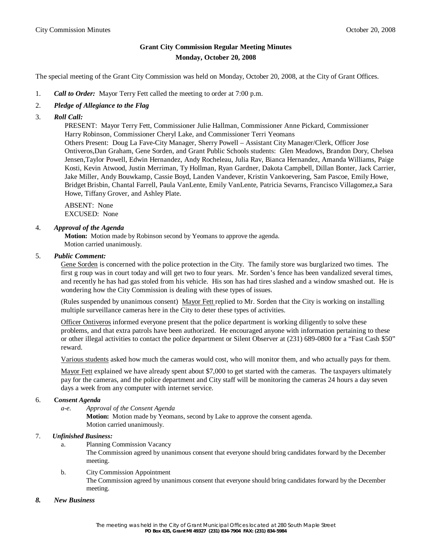# **Grant City Commission Regular Meeting Minutes Monday, October 20, 2008**

The special meeting of the Grant City Commission was held on Monday, October 20, 2008, at the City of Grant Offices.

- 1. *Call to Order:* Mayor Terry Fett called the meeting to order at 7:00 p.m.
- 2. *Pledge of Allegiance to the Flag*
- 3. *Roll Call:*

 PRESENT: Mayor Terry Fett, Commissioner Julie Hallman, Commissioner Anne Pickard, Commissioner Harry Robinson, Commissioner Cheryl Lake, and Commissioner Terri Yeomans Others Present: Doug La Fave-City Manager, Sherry Powell – Assistant City Manager/Clerk, Officer Jose Ontiveros,Dan Graham, Gene Sorden, and Grant Public Schools students: Glen Meadows, Brandon Dory, Chelsea Jensen,Taylor Powell, Edwin Hernandez, Andy Rocheleau, Julia Rav, Bianca Hernandez, Amanda Williams, Paige Kosti, Kevin Atwood, Justin Merriman, Ty Hollman, Ryan Gardner, Dakota Campbell, Dillan Bonter, Jack Carrier, Jake Miller, Andy Bouwkamp, Cassie Boyd, Landen Vandever, Kristin Vankoevering, Sam Pascoe, Emily Howe, Bridget Brisbin, Chantal Farrell, Paula VanLente, Emily VanLente, Patricia Sevarns, Francisco Villagomez,a Sara Howe, Tiffany Grover, and Ashley Plate.

 ABSENT: None EXCUSED: None

## 4. *Approval of the Agenda*

 **Motion:** Motion made by Robinson second by Yeomans to approve the agenda. Motion carried unanimously.

## 5. *Public Comment:*

Gene Sorden is concerned with the police protection in the City. The family store was burglarized two times. The first g roup was in court today and will get two to four years. Mr. Sorden's fence has been vandalized several times, and recently he has had gas stoled from his vehicle. His son has had tires slashed and a window smashed out. He is wondering how the City Commission is dealing with these types of issues.

(Rules suspended by unanimous consent) Mayor Fett replied to Mr. Sorden that the City is working on installing multiple surveillance cameras here in the City to deter these types of activities.

Officer Ontiveros informed everyone present that the police department is working diligently to solve these problems, and that extra patrols have been authorized. He encouraged anyone with information pertaining to these or other illegal activities to contact the police department or Silent Observer at (231) 689-0800 for a "Fast Cash \$50" reward.

Various students asked how much the cameras would cost, who will monitor them, and who actually pays for them.

Mayor Fett explained we have already spent about \$7,000 to get started with the cameras. The taxpayers ultimately pay for the cameras, and the police department and City staff will be monitoring the cameras 24 hours a day seven days a week from any computer with internet service.

# 6. **C***onsent Agenda*

*a-e. Approval of the Consent Agenda*

**Motion:** Motion made by Yeomans, second by Lake to approve the consent agenda. Motion carried unanimously.

#### 7. *Unfinished Business:*

a. Planning Commission Vacancy

The Commission agreed by unanimous consent that everyone should bring candidates forward by the December meeting.

b. City Commission Appointment The Commission agreed by unanimous consent that everyone should bring candidates forward by the December meeting.

#### *8. New Business*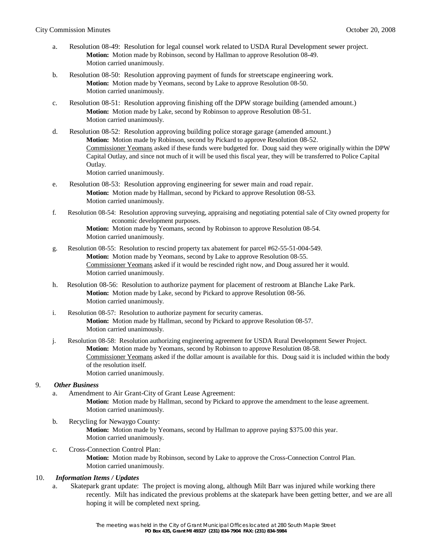- a. Resolution 08-49: Resolution for legal counsel work related to USDA Rural Development sewer project. **Motion:** Motion made by Robinson, second by Hallman to approve Resolution 08-49. Motion carried unanimously.
- b. Resolution 08-50: Resolution approving payment of funds for streetscape engineering work. **Motion:** Motion made by Yeomans, second by Lake to approve Resolution 08-50. Motion carried unanimously.
- c. Resolution 08-51: Resolution approving finishing off the DPW storage building (amended amount.) **Motion:** Motion made by Lake, second by Robinson to approve Resolution 08-51. Motion carried unanimously.
- d. Resolution 08-52: Resolution approving building police storage garage (amended amount.) **Motion:** Motion made by Robinson, second by Pickard to approve Resolution 08-52. Commissioner Yeomans asked if these funds were budgeted for. Doug said they were originally within the DPW Capital Outlay, and since not much of it will be used this fiscal year, they will be transferred to Police Capital Outlay. Motion carried unanimously.
- e. Resolution 08-53: Resolution approving engineering for sewer main and road repair. **Motion:** Motion made by Hallman, second by Pickard to approve Resolution 08-53. Motion carried unanimously.
- f. Resolution 08-54: Resolution approving surveying, appraising and negotiating potential sale of City owned property for economic development purposes.

**Motion:** Motion made by Yeomans, second by Robinson to approve Resolution 08-54. Motion carried unanimously.

- g. Resolution 08-55: Resolution to rescind property tax abatement for parcel #62-55-51-004-549. **Motion:** Motion made by Yeomans, second by Lake to approve Resolution 08-55. Commissioner Yeomans asked if it would be rescinded right now, and Doug assured her it would. Motion carried unanimously.
- h. Resolution 08-56: Resolution to authorize payment for placement of restroom at Blanche Lake Park. **Motion:** Motion made by Lake, second by Pickard to approve Resolution 08-56. Motion carried unanimously.
- i. Resolution 08-57: Resolution to authorize payment for security cameras. **Motion:** Motion made by Hallman, second by Pickard to approve Resolution 08-57. Motion carried unanimously.
- j. Resolution 08-58: Resolution authorizing engineering agreement for USDA Rural Development Sewer Project. **Motion:** Motion made by Yeomans, second by Robinson to approve Resolution 08-58. Commissioner Yeomans asked if the dollar amount is available for this. Doug said it is included within the body of the resolution itself. Motion carried unanimously.

#### 9. *Other Business*

- a. Amendment to Air Grant-City of Grant Lease Agreement: **Motion:** Motion made by Hallman, second by Pickard to approve the amendment to the lease agreement. Motion carried unanimously.
- b. Recycling for Newaygo County: **Motion:** Motion made by Yeomans, second by Hallman to approve paying \$375.00 this year. Motion carried unanimously.
- c. Cross-Connection Control Plan: **Motion:** Motion made by Robinson, second by Lake to approve the Cross-Connection Control Plan. Motion carried unanimously.

#### 10. *Information Items / Updates*

a. Skatepark grant update: The project is moving along, although Milt Barr was injured while working there recently. Milt has indicated the previous problems at the skatepark have been getting better, and we are all hoping it will be completed next spring.